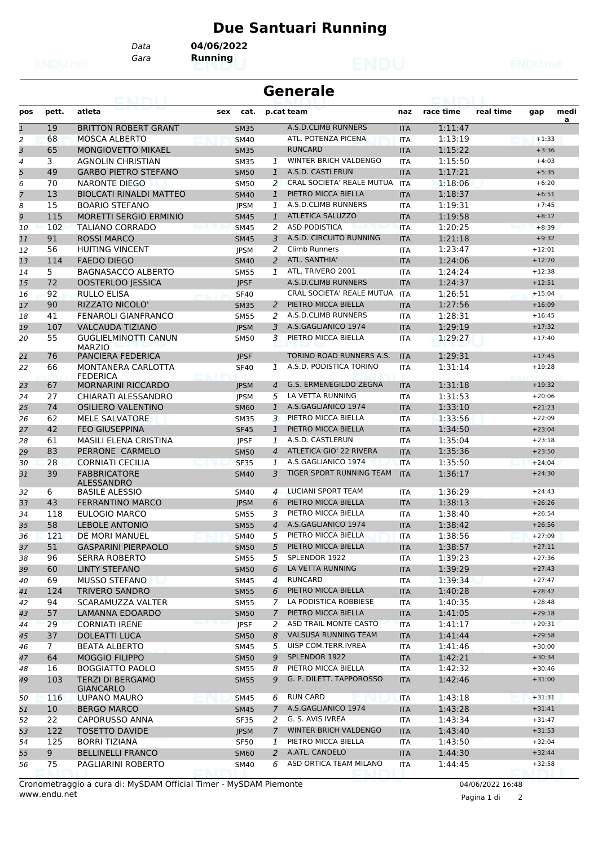## **Due Santuari Running**

*Data* **04/06/2022**

*Gara* **Running**

|                |                | eannai                                      |     |             |                | <b>Generale</b>                  |            |           |           |          |      |
|----------------|----------------|---------------------------------------------|-----|-------------|----------------|----------------------------------|------------|-----------|-----------|----------|------|
| pos            | pett.          | atleta                                      | sex | cat.        |                | p.cat team                       | naz        | race time | real time | gap      | medi |
| $\mathbf{1}$   | 19             | <b>BRITTON ROBERT GRANT</b>                 |     | <b>SM35</b> |                | A.S.D.CLIMB RUNNERS              | <b>ITA</b> | 1:11:47   |           |          | a    |
| 2              | 68             | <b>MOSCA ALBERTO</b>                        |     | <b>SM40</b> |                | ATL. POTENZA PICENA              | <b>ITA</b> | 1:13:19   |           | $+1:33$  |      |
| 3              | 65             | <b>MONGIOVETTO MIKAEL</b>                   |     | <b>SM35</b> |                | <b>RUNCARD</b>                   | <b>ITA</b> | 1:15:22   |           | $+3:36$  |      |
| $\overline{4}$ | 3              | <b>AGNOLIN CHRISTIAN</b>                    |     | <b>SM35</b> | $\mathcal{I}$  | WINTER BRICH VALDENGO            | <b>ITA</b> | 1:15:50   |           | $+4:03$  |      |
| 5              | 49             | <b>GARBO PIETRO STEFANO</b>                 |     | <b>SM50</b> | $\mathbf{1}$   | A.S.D. CASTLERUN                 | <b>ITA</b> | 1:17:21   |           | $+5:35$  |      |
| 6              | 70             | <b>NARONTE DIEGO</b>                        |     | <b>SM50</b> | 2              | CRAL SOCIETA' REALE MUTUA        | <b>ITA</b> | 1:18:06   |           | $+6:20$  |      |
| $\overline{7}$ | 13             | <b>BIOLCATI RINALDI MATTEO</b>              |     | <b>SM40</b> | $\mathbf{1}$   | PIETRO MICCA BIELLA              | <b>ITA</b> | 1:18:37   |           | $+6:51$  |      |
| 8              | 15             | <b>BOARIO STEFANO</b>                       |     | <b>JPSM</b> | 1              | A.S.D.CLIMB RUNNERS              | <b>ITA</b> | 1:19:31   |           | $+7:45$  |      |
| 9              | 115            | <b>MORETTI SERGIO ERMINIO</b>               |     | <b>SM45</b> | 1              | <b>ATLETICA SALUZZO</b>          | <b>ITA</b> | 1:19:58   |           | $+8:12$  |      |
| 10             | 102            | <b>TALIANO CORRADO</b>                      |     | <b>SM45</b> | 2              | <b>ASD PODISTICA</b>             | <b>ITA</b> | 1:20:25   |           | $+8:39$  |      |
| 11             | 91             | <b>ROSSI MARCO</b>                          |     | <b>SM45</b> | 3              | A.S.D. CIRCUITO RUNNING          | <b>ITA</b> | 1:21:18   |           | $+9:32$  |      |
| 12             | 56             | <b>HUITING VINCENT</b>                      |     | <b>JPSM</b> | 2              | Climb Runners                    | <b>ITA</b> | 1:23:47   |           | $+12:01$ |      |
| 13             | 114            | <b>FAEDO DIEGO</b>                          |     | <b>SM40</b> | $\overline{2}$ | ATL. SANTHIA'                    | <b>ITA</b> | 1:24:06   |           | $+12:20$ |      |
| 14             | 5              | <b>BAGNASACCO ALBERTO</b>                   |     | <b>SM55</b> | $\mathbf{1}$   | ATL. TRIVERO 2001                | <b>ITA</b> | 1:24:24   |           | $+12:38$ |      |
| 15             | 72             | <b>OOSTERLOO JESSICA</b>                    |     | <b>JPSF</b> |                | A.S.D.CLIMB RUNNERS              | <b>ITA</b> | 1:24:37   |           | $+12:51$ |      |
| 16             | 92             | <b>RULLO ELISA</b>                          |     | <b>SF40</b> |                | <b>CRAL SOCIETA' REALE MUTUA</b> | <b>ITA</b> | 1:26:51   |           | $+15:04$ |      |
| 17             | 90             | RIZZATO NICOLO'                             |     | <b>SM35</b> | 2              | PIETRO MICCA BIELLA              | <b>ITA</b> | 1:27:56   |           | $+16:09$ |      |
| 18             | 41             | <b>FENAROLI GIANFRANCO</b>                  |     | <b>SM55</b> | 2              | A.S.D.CLIMB RUNNERS              | <b>ITA</b> | 1:28:31   |           | $+16:45$ |      |
| 19             | 107            | <b>VALCAUDA TIZIANO</b>                     |     | <b>JPSM</b> | 3              | A.S.GAGLIANICO 1974              | <b>ITA</b> | 1:29:19   |           | $+17:32$ |      |
| 20             | 55             | <b>GUGLIELMINOTTI CANUN</b>                 |     | <b>SM50</b> | 3              | PIETRO MICCA BIELLA              | <b>ITA</b> | 1:29:27   |           | $+17:40$ |      |
| 21             | 76             | <b>MARZIO</b><br>PANCIERA FEDERICA          |     | <b>IPSF</b> |                | TORINO ROAD RUNNERS A.S.         | <b>ITA</b> | 1:29:31   |           | $+17:45$ |      |
| 22             | 66             | MONTANERA CARLOTTA                          |     | <b>SF40</b> | 1              | A.S.D. PODISTICA TORINO          | <b>ITA</b> | 1:31:14   |           | $+19:28$ |      |
|                |                | <b>FEDERICA</b>                             |     |             |                |                                  |            |           |           |          |      |
| 23             | 67             | <b>MORNARINI RICCARDO</b>                   |     | <b>JPSM</b> | $\overline{4}$ | G.S. ERMENEGILDO ZEGNA           | <b>ITA</b> | 1:31:18   |           | $+19:32$ |      |
| 24             | 27             | CHIARATI ALESSANDRO                         |     | <b>JPSM</b> | 5              | LA VETTA RUNNING                 | <b>ITA</b> | 1:31:53   |           | $+20:06$ |      |
| 25             | 74             | OSILIERO VALENTINO                          |     | <b>SM60</b> | $\mathbf{1}$   | A.S.GAGLIANICO 1974              | <b>ITA</b> | 1:33:10   |           | $+21:23$ |      |
| 26             | 62             | <b>MELE SALVATORE</b>                       |     | <b>SM35</b> | 3              | PIETRO MICCA BIELLA              | <b>ITA</b> | 1:33:56   |           | $+22:09$ |      |
| 27             | 42             | <b>FEO GIUSEPPINA</b>                       |     | <b>SF45</b> | $\mathbf{1}$   | PIETRO MICCA BIELLA              | <b>ITA</b> | 1:34:50   |           | $+23:04$ |      |
| 28             | 61             | <b>MASILI ELENA CRISTINA</b>                |     | <b>JPSF</b> | 1              | A.S.D. CASTLERUN                 | <b>ITA</b> | 1:35:04   |           | $+23:18$ |      |
| 29             | 83             | PERRONE CARMELO                             |     | <b>SM50</b> | $\overline{4}$ | ATLETICA GIO' 22 RIVERA          | <b>ITA</b> | 1:35:36   |           | $+23:50$ |      |
| 30             | 28             | <b>CORNIATI CECILIA</b>                     |     | <b>SF35</b> | 1              | A.S.GAGLIANICO 1974              | <b>ITA</b> | 1:35:50   |           | $+24:04$ |      |
| 31             | 39             | <b>FABBRICATORE</b><br><b>ALESSANDRO</b>    |     | <b>SM40</b> | 3              | TIGER SPORT RUNNING TEAM         | <b>ITA</b> | 1:36:17   |           | $+24:30$ |      |
| 32             | 6              | <b>BASILE ALESSIO</b>                       |     | <b>SM40</b> | $\overline{a}$ | <b>LUCIANI SPORT TEAM</b>        | <b>ITA</b> | 1:36:29   |           | $+24:43$ |      |
| 33             | 43             | <b>FERRANTINO MARCO</b>                     |     | <b>JPSM</b> | 6              | PIETRO MICCA BIELLA              | <b>ITA</b> | 1:38:13   |           | $+26:26$ |      |
| 34             | 118            | EULOGIO MARCO                               |     | <b>SM55</b> | 3              | PIETRO MICCA BIELLA              | <b>ITA</b> | 1:38:40   |           | $+26:54$ |      |
| 35             | 58             | <b>LEBOLE ANTONIO</b>                       |     | <b>SM55</b> | $\overline{4}$ | A.S.GAGLIANICO 1974              | <b>ITA</b> | 1:38:42   |           | $+26:56$ |      |
| 36             | 121            | DE MORI MANUEL                              |     | <b>SM40</b> | 5.             | PIETRO MICCA BIELLA              | <b>ITA</b> | 1:38:56   |           | $+27:09$ |      |
| 37             | 51             | <b>GASPARINI PIERPAOLO</b>                  |     | <b>SM50</b> | 5              | PIETRO MICCA BIELLA              | <b>ITA</b> | 1:38:57   |           | $+27:11$ |      |
| 38             | 96             | <b>SERRA ROBERTO</b>                        |     | <b>SM55</b> | 5              | SPLENDOR 1922                    | ITA        | 1:39:23   |           | $+27:36$ |      |
| 39             | 60             | LINTY STEFANO                               |     | <b>SM50</b> | 6              | LA VETTA RUNNING                 | <b>ITA</b> | 1:39:29   |           | $+27:43$ |      |
| 40             | 69             | <b>MUSSO STEFANO</b>                        |     | SM45        |                | 4 RUNCARD                        | ITA        | 1:39:34   |           | $+27:47$ |      |
| 41             | 124            | <b>TRIVERO SANDRO</b>                       |     | <b>SM55</b> | 6              | PIETRO MICCA BIELLA              | <b>ITA</b> | 1:40:28   |           | $+28:42$ |      |
| 42             | 94             | SCARAMUZZA VALTER                           |     | SM55        | 7              | LA PODISTICA ROBBIESE            | ITA        | 1:40:35   |           | $+28:48$ |      |
| 43             | 57             | LAMANNA EDOARDO                             |     | <b>SM50</b> | 7              | PIETRO MICCA BIELLA              | <b>ITA</b> | 1:41:05   |           | $+29:18$ |      |
| 44             | 29             | <b>CORNIATI IRENE</b>                       |     | <b>JPSF</b> | 2              | ASD TRAIL MONTE CASTO            | <b>ITA</b> | 1:41:17   |           | $+29:31$ |      |
| 45             | 37             | <b>DOLEATTI LUCA</b>                        |     | <b>SM50</b> | 8              | <b>VALSUSA RUNNING TEAM</b>      | <b>ITA</b> | 1:41:44   |           | $+29:58$ |      |
| 46             | $\overline{7}$ | BEATA ALBERTO                               |     | <b>SM45</b> | 5              | UISP COM.TERR.IVREA              | ITA        | 1:41:46   |           | $+30:00$ |      |
| 47             | 64             | <b>MOGGIO FILIPPO</b>                       |     | <b>SM50</b> | 9              | SPLENDOR 1922                    | <b>ITA</b> | 1:42:21   |           | $+30:34$ |      |
| 48             | 16             | <b>BOGGIATTO PAOLO</b>                      |     | SM55        | 8              | PIETRO MICCA BIELLA              | ITA        | 1:42:32   |           | $+30:46$ |      |
| 49             | 103            | <b>TERZI DI BERGAMO</b><br><b>GIANCARLO</b> |     | <b>SM55</b> | 9              | G. P. DILETT. TAPPOROSSO         | <b>ITA</b> | 1:42:46   |           | $+31:00$ |      |
| 50             | 116            | LUPANO MAURO                                |     | <b>SM45</b> | 6              | <b>RUN CARD</b>                  | ITA        | 1:43:18   |           | $+31:31$ |      |
| 51             | 10             | <b>BERGO MARCO</b>                          |     | <b>SM45</b> | $\mathcal{I}$  | A.S.GAGLIANICO 1974              | <b>ITA</b> | 1:43:28   |           | $+31:41$ |      |
| 52             | 22             | CAPORUSSO ANNA                              |     | SF35        | 2              | G. S. AVIS IVREA                 | ITA        | 1:43:34   |           | $+31:47$ |      |
| 53             | 122            | <b>TOSETTO DAVIDE</b>                       |     | <b>JPSM</b> | $7^{\circ}$    | WINTER BRICH VALDENGO            | <b>ITA</b> | 1:43:40   |           | $+31:53$ |      |
| 54             | 125            | <b>BORRI TIZIANA</b>                        |     | <b>SF50</b> | $\mathbf{1}$   | PIETRO MICCA BIELLA              | ITA        | 1:43:50   |           | $+32:04$ |      |
| 55             | 9              | <b>BELLINELLI FRANCO</b>                    |     | <b>SM60</b> | 2              | A.ATL. CANDELO                   | <b>ITA</b> | 1:44:30   |           | $+32:44$ |      |
| 56             | 75             | PAGLIARINI ROBERTO                          |     | <b>SM40</b> | 6              | ASD ORTICA TEAM MILANO           | ITA        | 1:44:45   |           | $+32:58$ |      |

Pagina 1 di 2